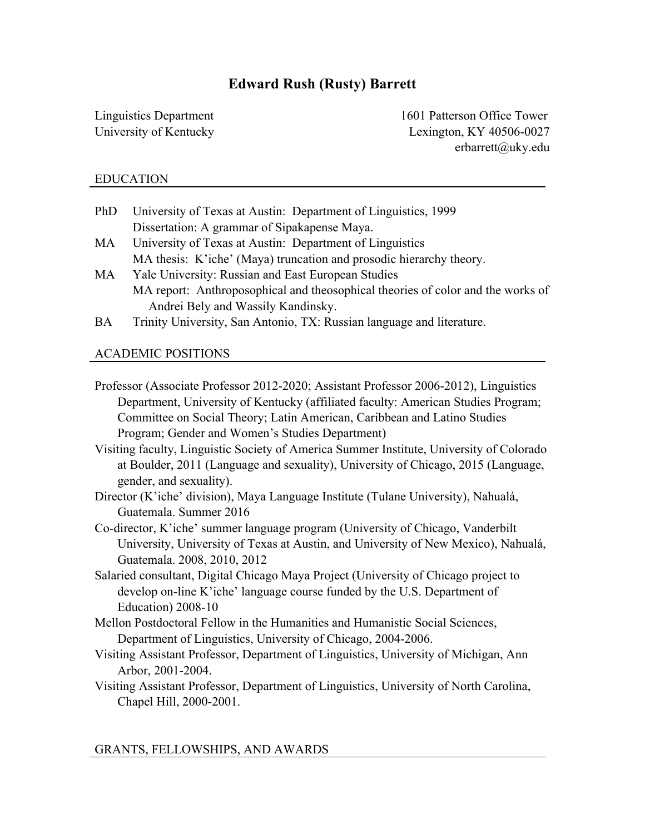# **Edward Rush (Rusty) Barrett**

Linguistics Department University of Kentucky  1601 Patterson Office Tower Lexington, KY 40506-0027 erbarrett@uky.edu

# EDUCATION

- PhD University of Texas at Austin: Department of Linguistics, 1999 Dissertation: A grammar of Sipakapense Maya.
- MA University of Texas at Austin: Department of Linguistics MA thesis: K'iche' (Maya) truncation and prosodic hierarchy theory.
- MA Yale University: Russian and East European Studies MA report: Anthroposophical and theosophical theories of color and the works of Andrei Bely and Wassily Kandinsky.
- BA Trinity University, San Antonio, TX: Russian language and literature.

# ACADEMIC POSITIONS

- Professor (Associate Professor 2012-2020; Assistant Professor 2006-2012), Linguistics Department, University of Kentucky (affiliated faculty: American Studies Program; Committee on Social Theory; Latin American, Caribbean and Latino Studies Program; Gender and Women's Studies Department)
- Visiting faculty, Linguistic Society of America Summer Institute, University of Colorado at Boulder, 2011 (Language and sexuality), University of Chicago, 2015 (Language, gender, and sexuality).
- Director (K'iche' division), Maya Language Institute (Tulane University), Nahualá, Guatemala. Summer 2016
- Co-director, K'iche' summer language program (University of Chicago, Vanderbilt University, University of Texas at Austin, and University of New Mexico), Nahualá, Guatemala. 2008, 2010, 2012
- Salaried consultant, Digital Chicago Maya Project (University of Chicago project to develop on-line K'iche' language course funded by the U.S. Department of Education) 2008-10
- Mellon Postdoctoral Fellow in the Humanities and Humanistic Social Sciences, Department of Linguistics, University of Chicago, 2004-2006.
- Visiting Assistant Professor, Department of Linguistics, University of Michigan, Ann Arbor, 2001-2004.
- Visiting Assistant Professor, Department of Linguistics, University of North Carolina, Chapel Hill, 2000-2001.

# GRANTS, FELLOWSHIPS, AND AWARDS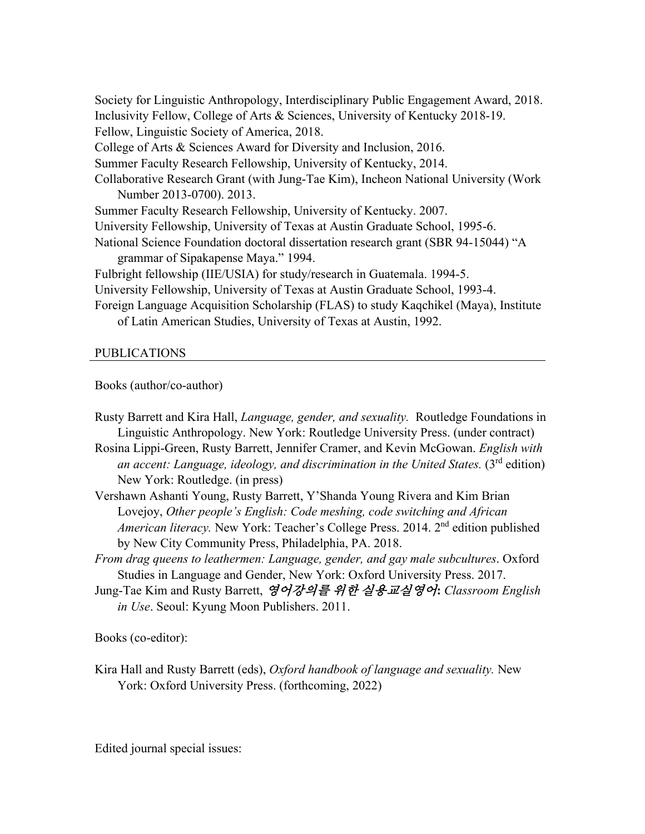Society for Linguistic Anthropology, Interdisciplinary Public Engagement Award, 2018. Inclusivity Fellow, College of Arts & Sciences, University of Kentucky 2018-19. Fellow, Linguistic Society of America, 2018. College of Arts & Sciences Award for Diversity and Inclusion, 2016. Summer Faculty Research Fellowship, University of Kentucky, 2014. Collaborative Research Grant (with Jung-Tae Kim), Incheon National University (Work Number 2013-0700). 2013. Summer Faculty Research Fellowship, University of Kentucky. 2007. University Fellowship, University of Texas at Austin Graduate School, 1995-6. National Science Foundation doctoral dissertation research grant (SBR 94-15044) "A grammar of Sipakapense Maya." 1994. Fulbright fellowship (IIE/USIA) for study/research in Guatemala. 1994-5. University Fellowship, University of Texas at Austin Graduate School, 1993-4. Foreign Language Acquisition Scholarship (FLAS) to study Kaqchikel (Maya), Institute of Latin American Studies, University of Texas at Austin, 1992.

### PUBLICATIONS

Books (author/co-author)

Rusty Barrett and Kira Hall, *Language, gender, and sexuality.* Routledge Foundations in Linguistic Anthropology. New York: Routledge University Press. (under contract)

Rosina Lippi-Green, Rusty Barrett, Jennifer Cramer, and Kevin McGowan. *English with an accent: Language, ideology, and discrimination in the United States.* (3rd edition) New York: Routledge. (in press)

- Vershawn Ashanti Young, Rusty Barrett, Y'Shanda Young Rivera and Kim Brian Lovejoy, *Other people's English: Code meshing, code switching and African American literacy.* New York: Teacher's College Press. 2014. 2<sup>nd</sup> edition published by New City Community Press, Philadelphia, PA. 2018.
- *From drag queens to leathermen: Language, gender, and gay male subcultures*. Oxford Studies in Language and Gender, New York: Oxford University Press. 2017.
- Jung-Tae Kim and Rusty Barrett, 영어강의를 위한 실용교실영어**:** *Classroom English in Use*. Seoul: Kyung Moon Publishers. 2011.

Books (co-editor):

Kira Hall and Rusty Barrett (eds), *Oxford handbook of language and sexuality.* New York: Oxford University Press. (forthcoming, 2022)

Edited journal special issues: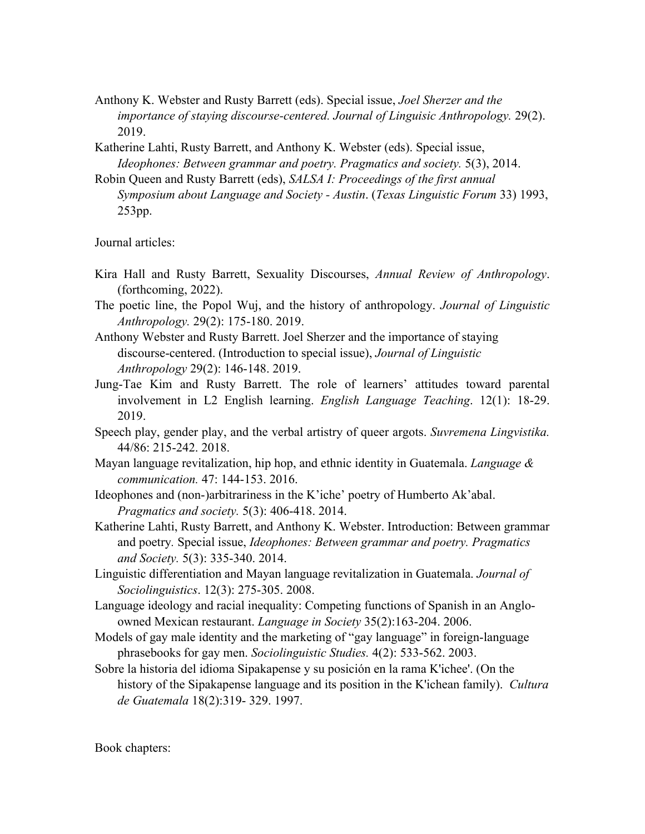- Anthony K. Webster and Rusty Barrett (eds). Special issue, *Joel Sherzer and the importance of staying discourse-centered. Journal of Linguisic Anthropology.* 29(2). 2019.
- Katherine Lahti, Rusty Barrett, and Anthony K. Webster (eds). Special issue, *Ideophones: Between grammar and poetry. Pragmatics and society.* 5(3), 2014.
- Robin Queen and Rusty Barrett (eds), *SALSA I: Proceedings of the first annual Symposium about Language and Society - Austin*. (*Texas Linguistic Forum* 33) 1993, 253pp.

Journal articles:

- Kira Hall and Rusty Barrett, Sexuality Discourses, *Annual Review of Anthropology*. (forthcoming, 2022).
- The poetic line, the Popol Wuj, and the history of anthropology. *Journal of Linguistic Anthropology.* 29(2): 175-180. 2019.
- Anthony Webster and Rusty Barrett. Joel Sherzer and the importance of staying discourse-centered. (Introduction to special issue), *Journal of Linguistic Anthropology* 29(2): 146-148. 2019.
- Jung-Tae Kim and Rusty Barrett. The role of learners' attitudes toward parental involvement in L2 English learning. *English Language Teaching*. 12(1): 18-29. 2019.
- Speech play, gender play, and the verbal artistry of queer argots. *Suvremena Lingvistika.*  44/86: 215-242. 2018.
- Mayan language revitalization, hip hop, and ethnic identity in Guatemala. *Language & communication.* 47: 144-153. 2016.
- Ideophones and (non-)arbitrariness in the K'iche' poetry of Humberto Ak'abal. *Pragmatics and society.* 5(3): 406-418. 2014.
- Katherine Lahti, Rusty Barrett, and Anthony K. Webster. Introduction: Between grammar and poetry*.* Special issue, *Ideophones: Between grammar and poetry. Pragmatics and Society.* 5(3): 335-340. 2014.
- Linguistic differentiation and Mayan language revitalization in Guatemala. *Journal of Sociolinguistics*. 12(3): 275-305. 2008.
- Language ideology and racial inequality: Competing functions of Spanish in an Angloowned Mexican restaurant. *Language in Society* 35(2):163-204. 2006.
- Models of gay male identity and the marketing of "gay language" in foreign-language phrasebooks for gay men. *Sociolinguistic Studies.* 4(2): 533-562. 2003.
- Sobre la historia del idioma Sipakapense y su posición en la rama K'ichee'. (On the history of the Sipakapense language and its position in the K'ichean family). *Cultura de Guatemala* 18(2):319- 329. 1997.

Book chapters: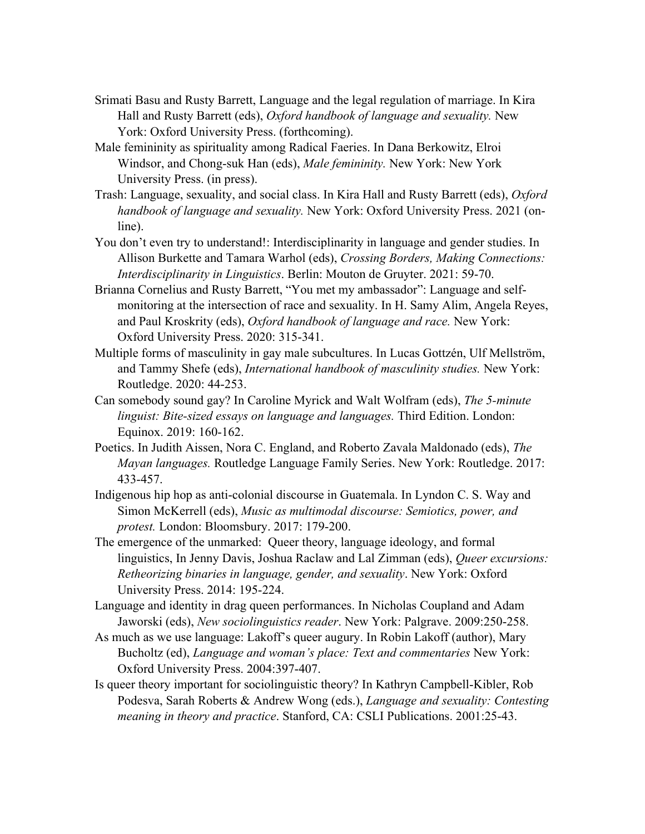- Srimati Basu and Rusty Barrett, Language and the legal regulation of marriage. In Kira Hall and Rusty Barrett (eds), *Oxford handbook of language and sexuality.* New York: Oxford University Press. (forthcoming).
- Male femininity as spirituality among Radical Faeries. In Dana Berkowitz, Elroi Windsor, and Chong-suk Han (eds), *Male femininity.* New York: New York University Press. (in press).
- Trash: Language, sexuality, and social class. In Kira Hall and Rusty Barrett (eds), *Oxford handbook of language and sexuality.* New York: Oxford University Press. 2021 (online).
- You don't even try to understand!: Interdisciplinarity in language and gender studies. In Allison Burkette and Tamara Warhol (eds), *Crossing Borders, Making Connections: Interdisciplinarity in Linguistics*. Berlin: Mouton de Gruyter. 2021: 59-70.
- Brianna Cornelius and Rusty Barrett, "You met my ambassador": Language and selfmonitoring at the intersection of race and sexuality. In H. Samy Alim, Angela Reyes, and Paul Kroskrity (eds), *Oxford handbook of language and race.* New York: Oxford University Press. 2020: 315-341.
- Multiple forms of masculinity in gay male subcultures. In Lucas Gottzén, Ulf Mellström, and Tammy Shefe (eds), *International handbook of masculinity studies.* New York: Routledge. 2020: 44-253.
- Can somebody sound gay? In Caroline Myrick and Walt Wolfram (eds), *The 5-minute linguist: Bite-sized essays on language and languages.* Third Edition. London: Equinox. 2019: 160-162.
- Poetics. In Judith Aissen, Nora C. England, and Roberto Zavala Maldonado (eds), *The Mayan languages.* Routledge Language Family Series. New York: Routledge. 2017: 433-457.
- Indigenous hip hop as anti-colonial discourse in Guatemala. In Lyndon C. S. Way and Simon McKerrell (eds), *Music as multimodal discourse: Semiotics, power, and protest.* London: Bloomsbury. 2017: 179-200.
- The emergence of the unmarked: Queer theory, language ideology, and formal linguistics, In Jenny Davis, Joshua Raclaw and Lal Zimman (eds), *Queer excursions: Retheorizing binaries in language, gender, and sexuality*. New York: Oxford University Press. 2014: 195-224.
- Language and identity in drag queen performances. In Nicholas Coupland and Adam Jaworski (eds), *New sociolinguistics reader*. New York: Palgrave. 2009:250-258.
- As much as we use language: Lakoff's queer augury. In Robin Lakoff (author), Mary Bucholtz (ed), *Language and woman's place: Text and commentaries* New York: Oxford University Press. 2004:397-407.
- Is queer theory important for sociolinguistic theory? In Kathryn Campbell-Kibler, Rob Podesva, Sarah Roberts & Andrew Wong (eds.), *Language and sexuality: Contesting meaning in theory and practice*. Stanford, CA: CSLI Publications. 2001:25-43.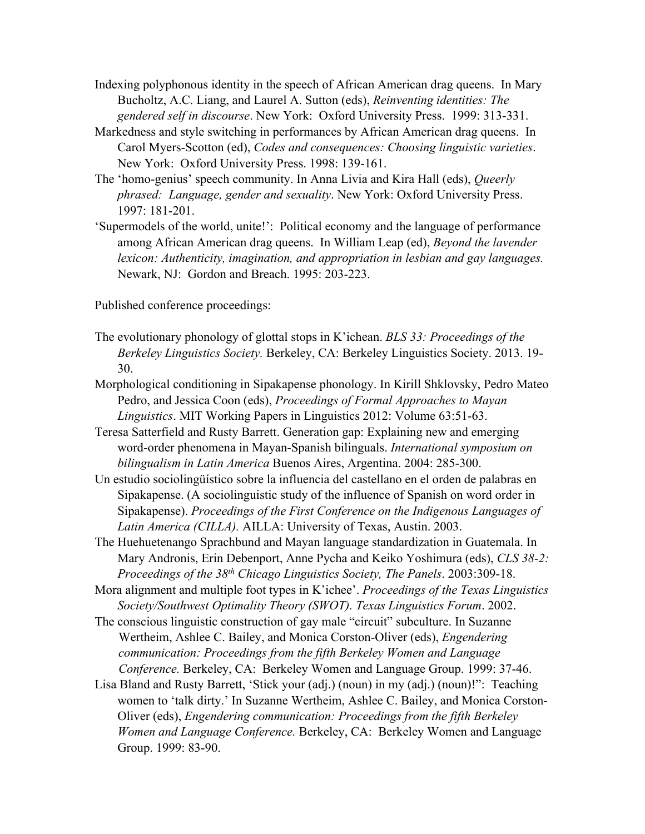- Indexing polyphonous identity in the speech of African American drag queens. In Mary Bucholtz, A.C. Liang, and Laurel A. Sutton (eds), *Reinventing identities: The gendered self in discourse*. New York: Oxford University Press. 1999: 313-331.
- Markedness and style switching in performances by African American drag queens. In Carol Myers-Scotton (ed), *Codes and consequences: Choosing linguistic varieties*. New York: Oxford University Press. 1998: 139-161.
- The 'homo-genius' speech community. In Anna Livia and Kira Hall (eds), *Queerly phrased: Language, gender and sexuality*. New York: Oxford University Press. 1997: 181-201.
- 'Supermodels of the world, unite!': Political economy and the language of performance among African American drag queens. In William Leap (ed), *Beyond the lavender lexicon: Authenticity, imagination, and appropriation in lesbian and gay languages.* Newark, NJ: Gordon and Breach. 1995: 203-223.

Published conference proceedings:

- The evolutionary phonology of glottal stops in K'ichean. *BLS 33: Proceedings of the Berkeley Linguistics Society.* Berkeley, CA: Berkeley Linguistics Society. 2013. 19- 30.
- Morphological conditioning in Sipakapense phonology. In Kirill Shklovsky, Pedro Mateo Pedro, and Jessica Coon (eds), *Proceedings of Formal Approaches to Mayan Linguistics*. MIT Working Papers in Linguistics 2012: Volume 63:51-63.
- Teresa Satterfield and Rusty Barrett. Generation gap: Explaining new and emerging word-order phenomena in Mayan-Spanish bilinguals. *International symposium on bilingualism in Latin America* Buenos Aires, Argentina. 2004: 285-300.
- Un estudio sociolingüístico sobre la influencia del castellano en el orden de palabras en Sipakapense. (A sociolinguistic study of the influence of Spanish on word order in Sipakapense). *Proceedings of the First Conference on the Indigenous Languages of Latin America (CILLA).* AILLA: University of Texas, Austin. 2003.
- The Huehuetenango Sprachbund and Mayan language standardization in Guatemala. In Mary Andronis, Erin Debenport, Anne Pycha and Keiko Yoshimura (eds), *CLS 38-2: Proceedings of the 38th Chicago Linguistics Society, The Panels*. 2003:309-18.
- Mora alignment and multiple foot types in K'ichee'. *Proceedings of the Texas Linguistics Society/Southwest Optimality Theory (SWOT). Texas Linguistics Forum*. 2002.
- The conscious linguistic construction of gay male "circuit" subculture. In Suzanne Wertheim, Ashlee C. Bailey, and Monica Corston-Oliver (eds), *Engendering communication: Proceedings from the fifth Berkeley Women and Language Conference.* Berkeley, CA: Berkeley Women and Language Group. 1999: 37-46.
- Lisa Bland and Rusty Barrett, 'Stick your (adj.) (noun) in my (adj.) (noun)!": Teaching women to 'talk dirty.' In Suzanne Wertheim, Ashlee C. Bailey, and Monica Corston-Oliver (eds), *Engendering communication: Proceedings from the fifth Berkeley Women and Language Conference.* Berkeley, CA: Berkeley Women and Language Group. 1999: 83-90.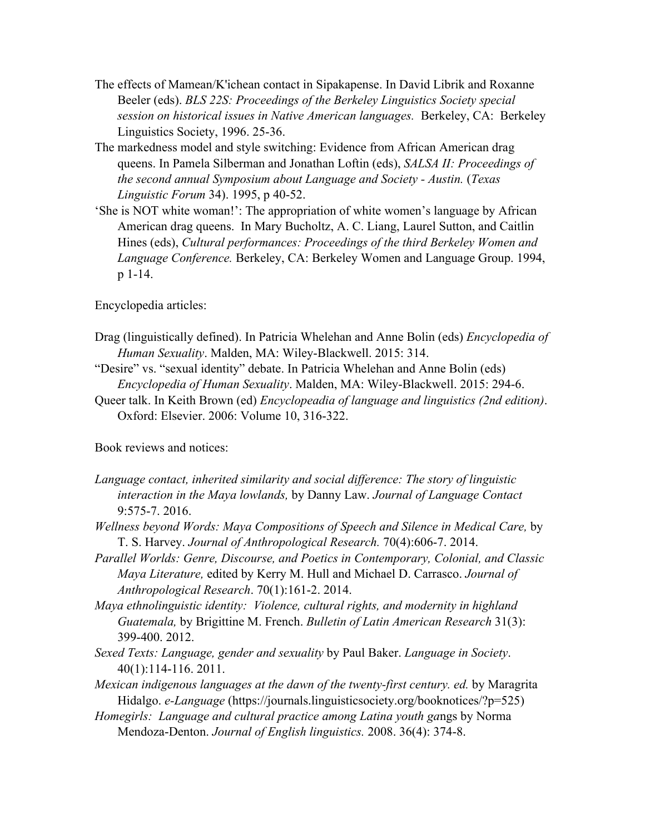- The effects of Mamean/K'ichean contact in Sipakapense. In David Librik and Roxanne Beeler (eds). *BLS 22S: Proceedings of the Berkeley Linguistics Society special session on historical issues in Native American languages.* Berkeley, CA: Berkeley Linguistics Society, 1996. 25-36.
- The markedness model and style switching: Evidence from African American drag queens. In Pamela Silberman and Jonathan Loftin (eds), *SALSA II: Proceedings of the second annual Symposium about Language and Society - Austin.* (*Texas Linguistic Forum* 34). 1995, p 40-52.
- 'She is NOT white woman!': The appropriation of white women's language by African American drag queens. In Mary Bucholtz, A. C. Liang, Laurel Sutton, and Caitlin Hines (eds), *Cultural performances: Proceedings of the third Berkeley Women and Language Conference.* Berkeley, CA: Berkeley Women and Language Group. 1994, p 1-14.

Encyclopedia articles:

- Drag (linguistically defined). In Patricia Whelehan and Anne Bolin (eds) *Encyclopedia of Human Sexuality*. Malden, MA: Wiley-Blackwell. 2015: 314.
- "Desire" vs. "sexual identity" debate. In Patricia Whelehan and Anne Bolin (eds) *Encyclopedia of Human Sexuality*. Malden, MA: Wiley-Blackwell. 2015: 294-6.
- Queer talk. In Keith Brown (ed) *Encyclopeadia of language and linguistics (2nd edition)*. Oxford: Elsevier. 2006: Volume 10, 316-322.

Book reviews and notices:

- *Language contact, inherited similarity and social difference: The story of linguistic interaction in the Maya lowlands,* by Danny Law. *Journal of Language Contact*  9:575-7. 2016.
- *Wellness beyond Words: Maya Compositions of Speech and Silence in Medical Care,* by T. S. Harvey. *Journal of Anthropological Research.* 70(4):606-7. 2014.
- *Parallel Worlds: Genre, Discourse, and Poetics in Contemporary, Colonial, and Classic Maya Literature,* edited by Kerry M. Hull and Michael D. Carrasco. *Journal of Anthropological Research*. 70(1):161-2. 2014.
- *Maya ethnolinguistic identity: Violence, cultural rights, and modernity in highland Guatemala,* by Brigittine M. French. *Bulletin of Latin American Research* 31(3): 399-400. 2012.
- *Sexed Texts: Language, gender and sexuality* by Paul Baker. *Language in Society*. 40(1):114-116. 2011.
- *Mexican indigenous languages at the dawn of the twenty-first century. ed.* by Maragrita Hidalgo. *e-Language* (https://journals.linguisticsociety.org/booknotices/?p=525)
- *Homegirls: Language and cultural practice among Latina youth ga*ngs by Norma Mendoza-Denton. *Journal of English linguistics.* 2008. 36(4): 374-8.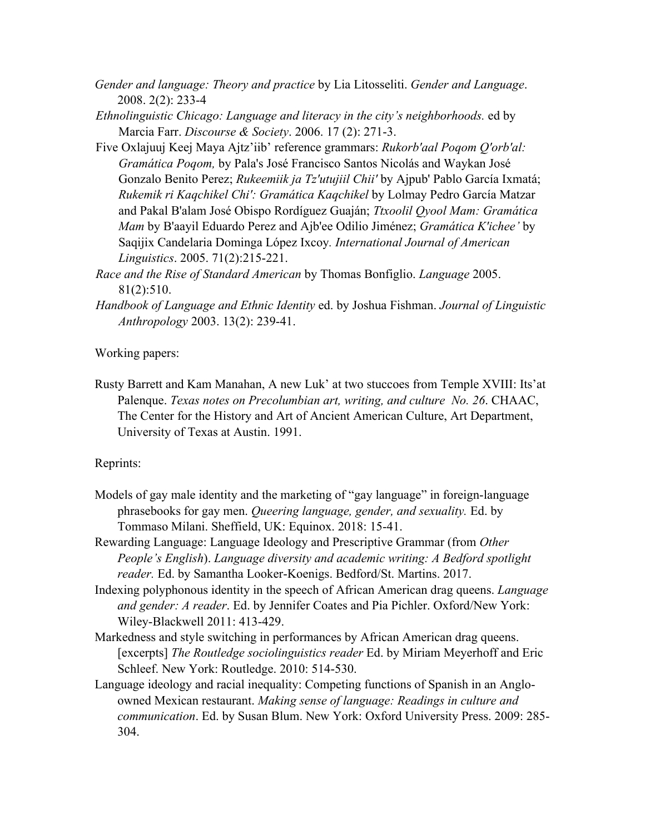- *Gender and language: Theory and practice* by Lia Litosseliti. *Gender and Language*. 2008. 2(2): 233-4
- *Ethnolinguistic Chicago: Language and literacy in the city's neighborhoods.* ed by Marcia Farr. *Discourse & Society*. 2006. 17 (2): 271-3.
- Five Oxlajuuj Keej Maya Ajtz'iib' reference grammars: *Rukorb'aal Poqom Q'orb'al: Gramática Poqom,* by Pala's José Francisco Santos Nicolás and Waykan José Gonzalo Benito Perez; *Rukeemiik ja Tz'utujiil Chii'* by Ajpub' Pablo García Ixmatá; *Rukemik ri Kaqchikel Chi': Gramática Kaqchikel* by Lolmay Pedro García Matzar and Pakal B'alam José Obispo Rordíguez Guaján; *Ttxoolil Qyool Mam: Gramática Mam* by B'aayil Eduardo Perez and Ajb'ee Odilio Jiménez; *Gramática K'ichee'* by Saqijix Candelaria Dominga López Ixcoy*. International Journal of American Linguistics*. 2005. 71(2):215-221.
- *Race and the Rise of Standard American* by Thomas Bonfiglio. *Language* 2005. 81(2):510.
- *Handbook of Language and Ethnic Identity* ed. by Joshua Fishman. *Journal of Linguistic Anthropology* 2003. 13(2): 239-41.

Working papers:

Rusty Barrett and Kam Manahan, A new Luk' at two stuccoes from Temple XVIII: Its'at Palenque. *Texas notes on Precolumbian art, writing, and culture No. 26*. CHAAC, The Center for the History and Art of Ancient American Culture, Art Department, University of Texas at Austin. 1991.

Reprints:

- Models of gay male identity and the marketing of "gay language" in foreign-language phrasebooks for gay men. *Queering language, gender, and sexuality.* Ed. by Tommaso Milani. Sheffield, UK: Equinox. 2018: 15-41.
- Rewarding Language: Language Ideology and Prescriptive Grammar (from *Other People's English*). *Language diversity and academic writing: A Bedford spotlight reader.* Ed. by Samantha Looker-Koenigs. Bedford/St. Martins. 2017.
- Indexing polyphonous identity in the speech of African American drag queens. *Language and gender: A reader*. Ed. by Jennifer Coates and Pia Pichler. Oxford/New York: Wiley-Blackwell 2011: 413-429.
- Markedness and style switching in performances by African American drag queens. [excerpts] *The Routledge sociolinguistics reader* Ed. by Miriam Meyerhoff and Eric Schleef. New York: Routledge. 2010: 514-530.
- Language ideology and racial inequality: Competing functions of Spanish in an Angloowned Mexican restaurant. *Making sense of language: Readings in culture and communication*. Ed. by Susan Blum. New York: Oxford University Press. 2009: 285- 304.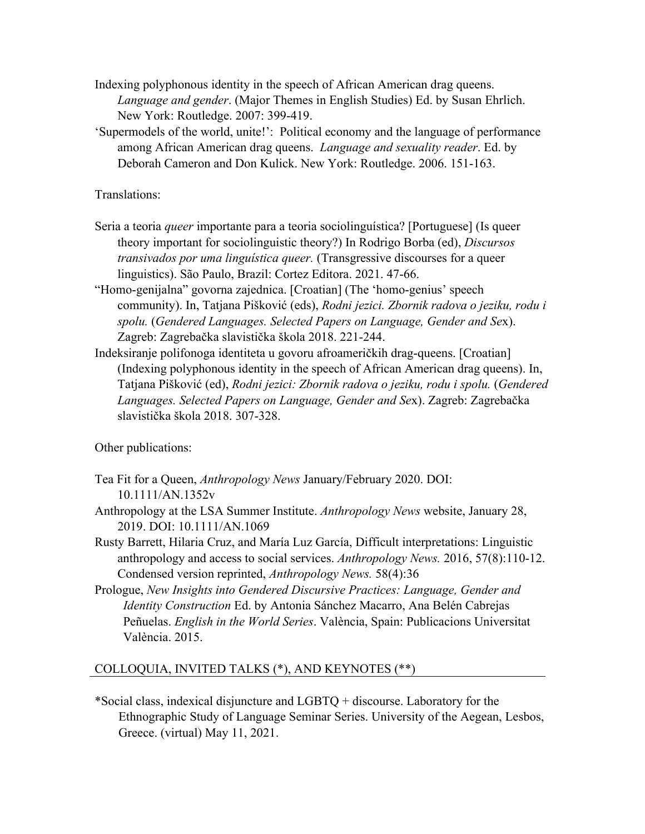- Indexing polyphonous identity in the speech of African American drag queens. *Language and gender*. (Major Themes in English Studies) Ed. by Susan Ehrlich. New York: Routledge. 2007: 399-419.
- 'Supermodels of the world, unite!': Political economy and the language of performance among African American drag queens. *Language and sexuality reader*. Ed. by Deborah Cameron and Don Kulick. New York: Routledge. 2006. 151-163.

Translations:

- Seria a teoria *queer* importante para a teoria sociolinguística? [Portuguese] (Is queer theory important for sociolinguistic theory?) In Rodrigo Borba (ed), *Discursos transivados por uma linguística queer.* (Transgressive discourses for a queer linguistics). São Paulo, Brazil: Cortez Editora. 2021. 47-66.
- "Homo-genijalna" govorna zajednica. [Croatian] (The 'homo-genius' speech community). In, Tatjana Pišković (eds), *Rodni jezici. Zbornik radova o jeziku, rodu i spolu.* (*Gendered Languages. Selected Papers on Language, Gender and Se*x). Zagreb: Zagrebačka slavistička škola 2018. 221-244.
- Indeksiranje polifonoga identiteta u govoru afroameričkih drag-queens. [Croatian] (Indexing polyphonous identity in the speech of African American drag queens). In, Tatjana Pišković (ed), *Rodni jezici: Zbornik radova o jeziku, rodu i spolu.* (*Gendered Languages. Selected Papers on Language, Gender and Se*x). Zagreb: Zagrebačka slavistička škola 2018. 307-328.

Other publications:

- Tea Fit for a Queen, *Anthropology News* January/February 2020. DOI: 10.1111/AN.1352v
- Anthropology at the LSA Summer Institute. *Anthropology News* website, January 28, 2019. DOI: 10.1111/AN.1069
- Rusty Barrett, Hilaria Cruz, and María Luz García, Difficult interpretations: Linguistic anthropology and access to social services. *Anthropology News.* 2016, 57(8):110-12. Condensed version reprinted, *Anthropology News.* 58(4):36
- Prologue, *New Insights into Gendered Discursive Practices: Language, Gender and Identity Construction* Ed. by Antonia Sánchez Macarro, Ana Belén Cabrejas Peñuelas. *English in the World Series*. València, Spain: Publicacions Universitat València. 2015.

# COLLOQUIA, INVITED TALKS (\*), AND KEYNOTES (\*\*)

\*Social class, indexical disjuncture and LGBTQ + discourse. Laboratory for the Ethnographic Study of Language Seminar Series. University of the Aegean, Lesbos, Greece. (virtual) May 11, 2021.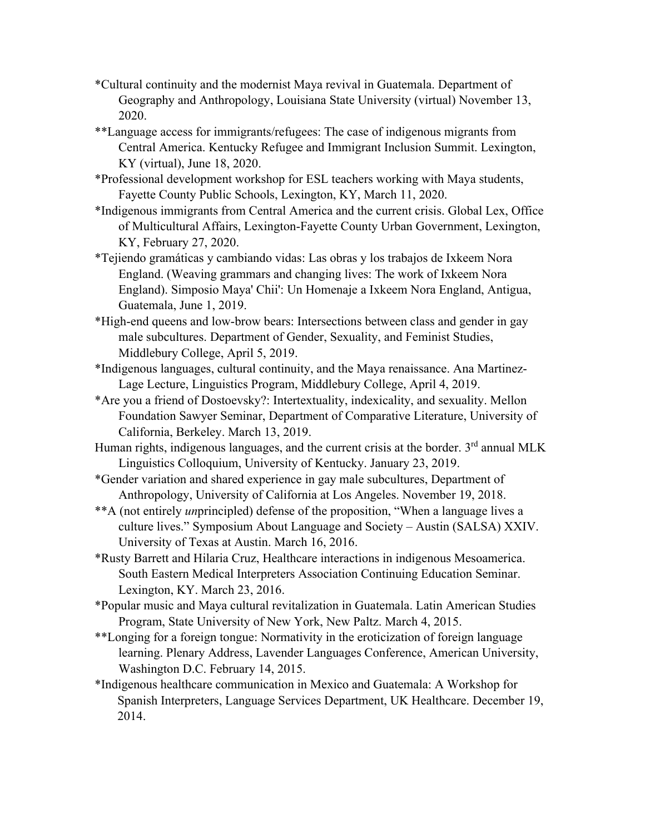- \*Cultural continuity and the modernist Maya revival in Guatemala. Department of Geography and Anthropology, Louisiana State University (virtual) November 13, 2020.
- \*\*Language access for immigrants/refugees: The case of indigenous migrants from Central America. Kentucky Refugee and Immigrant Inclusion Summit. Lexington, KY (virtual), June 18, 2020.
- \*Professional development workshop for ESL teachers working with Maya students, Fayette County Public Schools, Lexington, KY, March 11, 2020.
- \*Indigenous immigrants from Central America and the current crisis. Global Lex, Office of Multicultural Affairs, Lexington-Fayette County Urban Government, Lexington, KY, February 27, 2020.
- \*Tejiendo gramáticas y cambiando vidas: Las obras y los trabajos de Ixkeem Nora England. (Weaving grammars and changing lives: The work of Ixkeem Nora England). Simposio Maya' Chii': Un Homenaje a Ixkeem Nora England, Antigua, Guatemala, June 1, 2019.
- \*High-end queens and low-brow bears: Intersections between class and gender in gay male subcultures. Department of Gender, Sexuality, and Feminist Studies, Middlebury College, April 5, 2019.
- \*Indigenous languages, cultural continuity, and the Maya renaissance. Ana Martinez-Lage Lecture, Linguistics Program, Middlebury College, April 4, 2019.
- \*Are you a friend of Dostoevsky?: Intertextuality, indexicality, and sexuality. Mellon Foundation Sawyer Seminar, Department of Comparative Literature, University of California, Berkeley. March 13, 2019.
- Human rights, indigenous languages, and the current crisis at the border.  $3<sup>rd</sup>$  annual MLK Linguistics Colloquium, University of Kentucky. January 23, 2019.
- \*Gender variation and shared experience in gay male subcultures, Department of Anthropology, University of California at Los Angeles. November 19, 2018.
- \*\*A (not entirely *un*principled) defense of the proposition, "When a language lives a culture lives." Symposium About Language and Society – Austin (SALSA) XXIV. University of Texas at Austin. March 16, 2016.
- \*Rusty Barrett and Hilaria Cruz, Healthcare interactions in indigenous Mesoamerica. South Eastern Medical Interpreters Association Continuing Education Seminar. Lexington, KY. March 23, 2016.
- \*Popular music and Maya cultural revitalization in Guatemala. Latin American Studies Program, State University of New York, New Paltz. March 4, 2015.
- \*\*Longing for a foreign tongue: Normativity in the eroticization of foreign language learning. Plenary Address, Lavender Languages Conference, American University, Washington D.C. February 14, 2015.
- \*Indigenous healthcare communication in Mexico and Guatemala: A Workshop for Spanish Interpreters, Language Services Department, UK Healthcare. December 19, 2014.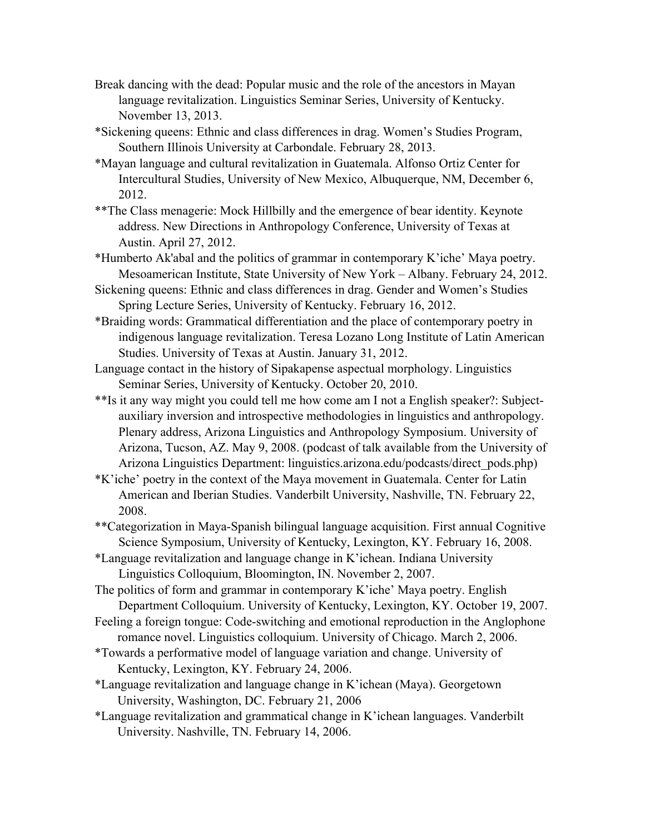- Break dancing with the dead: Popular music and the role of the ancestors in Mayan language revitalization. Linguistics Seminar Series, University of Kentucky. November 13, 2013.
- \*Sickening queens: Ethnic and class differences in drag. Women's Studies Program, Southern Illinois University at Carbondale. February 28, 2013.
- \*Mayan language and cultural revitalization in Guatemala. Alfonso Ortiz Center for Intercultural Studies, University of New Mexico, Albuquerque, NM, December 6, 2012.
- \*\*The Class menagerie: Mock Hillbilly and the emergence of bear identity. Keynote address. New Directions in Anthropology Conference, University of Texas at Austin. April 27, 2012.
- \*Humberto Ak'abal and the politics of grammar in contemporary K'iche' Maya poetry. Mesoamerican Institute, State University of New York – Albany. February 24, 2012.
- Sickening queens: Ethnic and class differences in drag. Gender and Women's Studies Spring Lecture Series, University of Kentucky. February 16, 2012.
- \*Braiding words: Grammatical differentiation and the place of contemporary poetry in indigenous language revitalization. Teresa Lozano Long Institute of Latin American Studies. University of Texas at Austin. January 31, 2012.
- Language contact in the history of Sipakapense aspectual morphology. Linguistics Seminar Series, University of Kentucky. October 20, 2010.
- \*\*Is it any way might you could tell me how come am I not a English speaker?: Subjectauxiliary inversion and introspective methodologies in linguistics and anthropology. Plenary address, Arizona Linguistics and Anthropology Symposium. University of Arizona, Tucson, AZ. May 9, 2008. (podcast of talk available from the University of Arizona Linguistics Department: linguistics.arizona.edu/podcasts/direct\_pods.php)
- \*K'iche' poetry in the context of the Maya movement in Guatemala. Center for Latin American and Iberian Studies. Vanderbilt University, Nashville, TN. February 22, 2008.
- \*\*Categorization in Maya-Spanish bilingual language acquisition. First annual Cognitive Science Symposium, University of Kentucky, Lexington, KY. February 16, 2008.
- \*Language revitalization and language change in K'ichean. Indiana University Linguistics Colloquium, Bloomington, IN. November 2, 2007.
- The politics of form and grammar in contemporary K'iche' Maya poetry. English Department Colloquium. University of Kentucky, Lexington, KY. October 19, 2007.
- Feeling a foreign tongue: Code-switching and emotional reproduction in the Anglophone romance novel. Linguistics colloquium. University of Chicago. March 2, 2006.
- \*Towards a performative model of language variation and change. University of Kentucky, Lexington, KY. February 24, 2006.
- \*Language revitalization and language change in K'ichean (Maya). Georgetown University, Washington, DC. February 21, 2006
- \*Language revitalization and grammatical change in K'ichean languages. Vanderbilt University. Nashville, TN. February 14, 2006.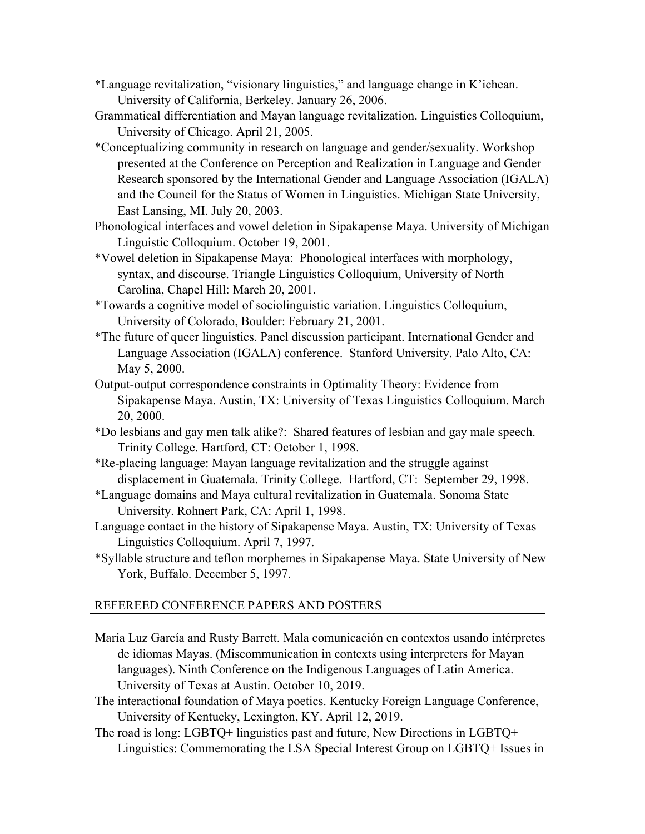- \*Language revitalization, "visionary linguistics," and language change in K'ichean. University of California, Berkeley. January 26, 2006.
- Grammatical differentiation and Mayan language revitalization. Linguistics Colloquium, University of Chicago. April 21, 2005.
- \*Conceptualizing community in research on language and gender/sexuality. Workshop presented at the Conference on Perception and Realization in Language and Gender Research sponsored by the International Gender and Language Association (IGALA) and the Council for the Status of Women in Linguistics. Michigan State University, East Lansing, MI. July 20, 2003.
- Phonological interfaces and vowel deletion in Sipakapense Maya. University of Michigan Linguistic Colloquium. October 19, 2001.
- \*Vowel deletion in Sipakapense Maya: Phonological interfaces with morphology, syntax, and discourse. Triangle Linguistics Colloquium, University of North Carolina, Chapel Hill: March 20, 2001.
- \*Towards a cognitive model of sociolinguistic variation. Linguistics Colloquium, University of Colorado, Boulder: February 21, 2001.
- \*The future of queer linguistics. Panel discussion participant. International Gender and Language Association (IGALA) conference. Stanford University. Palo Alto, CA: May 5, 2000.
- Output-output correspondence constraints in Optimality Theory: Evidence from Sipakapense Maya. Austin, TX: University of Texas Linguistics Colloquium. March 20, 2000.
- \*Do lesbians and gay men talk alike?: Shared features of lesbian and gay male speech. Trinity College. Hartford, CT: October 1, 1998.
- \*Re-placing language: Mayan language revitalization and the struggle against displacement in Guatemala. Trinity College. Hartford, CT: September 29, 1998.
- \*Language domains and Maya cultural revitalization in Guatemala. Sonoma State University. Rohnert Park, CA: April 1, 1998.
- Language contact in the history of Sipakapense Maya. Austin, TX: University of Texas Linguistics Colloquium. April 7, 1997.
- \*Syllable structure and teflon morphemes in Sipakapense Maya. State University of New York, Buffalo. December 5, 1997.

# REFEREED CONFERENCE PAPERS AND POSTERS

- María Luz García and Rusty Barrett. Mala comunicación en contextos usando intérpretes de idiomas Mayas. (Miscommunication in contexts using interpreters for Mayan languages). Ninth Conference on the Indigenous Languages of Latin America. University of Texas at Austin. October 10, 2019.
- The interactional foundation of Maya poetics. Kentucky Foreign Language Conference, University of Kentucky, Lexington, KY. April 12, 2019.
- The road is long: LGBTQ+ linguistics past and future, New Directions in LGBTQ+ Linguistics: Commemorating the LSA Special Interest Group on LGBTQ+ Issues in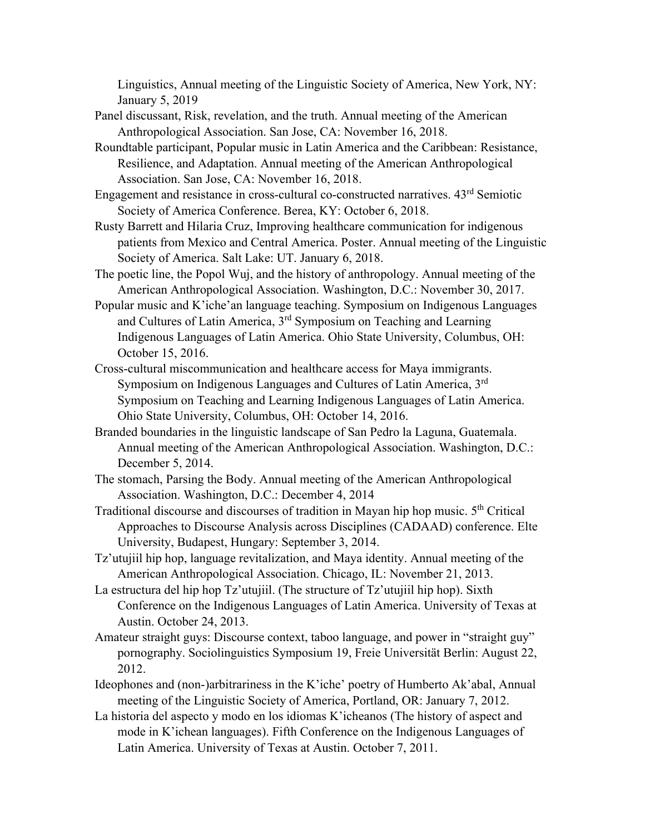Linguistics, Annual meeting of the Linguistic Society of America, New York, NY: January 5, 2019

- Panel discussant, Risk, revelation, and the truth. Annual meeting of the American Anthropological Association. San Jose, CA: November 16, 2018.
- Roundtable participant, Popular music in Latin America and the Caribbean: Resistance, Resilience, and Adaptation. Annual meeting of the American Anthropological Association. San Jose, CA: November 16, 2018.
- Engagement and resistance in cross-cultural co-constructed narratives. 43rd Semiotic Society of America Conference. Berea, KY: October 6, 2018.
- Rusty Barrett and Hilaria Cruz, Improving healthcare communication for indigenous patients from Mexico and Central America. Poster. Annual meeting of the Linguistic Society of America. Salt Lake: UT. January 6, 2018.
- The poetic line, the Popol Wuj, and the history of anthropology. Annual meeting of the American Anthropological Association. Washington, D.C.: November 30, 2017.
- Popular music and K'iche'an language teaching. Symposium on Indigenous Languages and Cultures of Latin America, 3rd Symposium on Teaching and Learning Indigenous Languages of Latin America. Ohio State University, Columbus, OH: October 15, 2016.
- Cross-cultural miscommunication and healthcare access for Maya immigrants. Symposium on Indigenous Languages and Cultures of Latin America, 3<sup>rd</sup> Symposium on Teaching and Learning Indigenous Languages of Latin America. Ohio State University, Columbus, OH: October 14, 2016.
- Branded boundaries in the linguistic landscape of San Pedro la Laguna, Guatemala. Annual meeting of the American Anthropological Association. Washington, D.C.: December 5, 2014.
- The stomach, Parsing the Body. Annual meeting of the American Anthropological Association. Washington, D.C.: December 4, 2014
- Traditional discourse and discourses of tradition in Mayan hip hop music. 5<sup>th</sup> Critical Approaches to Discourse Analysis across Disciplines (CADAAD) conference. Elte University, Budapest, Hungary: September 3, 2014.
- Tz'utujiil hip hop, language revitalization, and Maya identity. Annual meeting of the American Anthropological Association. Chicago, IL: November 21, 2013.
- La estructura del hip hop Tz'utujiil. (The structure of Tz'utujiil hip hop). Sixth Conference on the Indigenous Languages of Latin America. University of Texas at Austin. October 24, 2013.
- Amateur straight guys: Discourse context, taboo language, and power in "straight guy" pornography. Sociolinguistics Symposium 19, Freie Universität Berlin: August 22, 2012.
- Ideophones and (non-)arbitrariness in the K'iche' poetry of Humberto Ak'abal, Annual meeting of the Linguistic Society of America, Portland, OR: January 7, 2012.
- La historia del aspecto y modo en los idiomas K'icheanos (The history of aspect and mode in K'ichean languages). Fifth Conference on the Indigenous Languages of Latin America. University of Texas at Austin. October 7, 2011.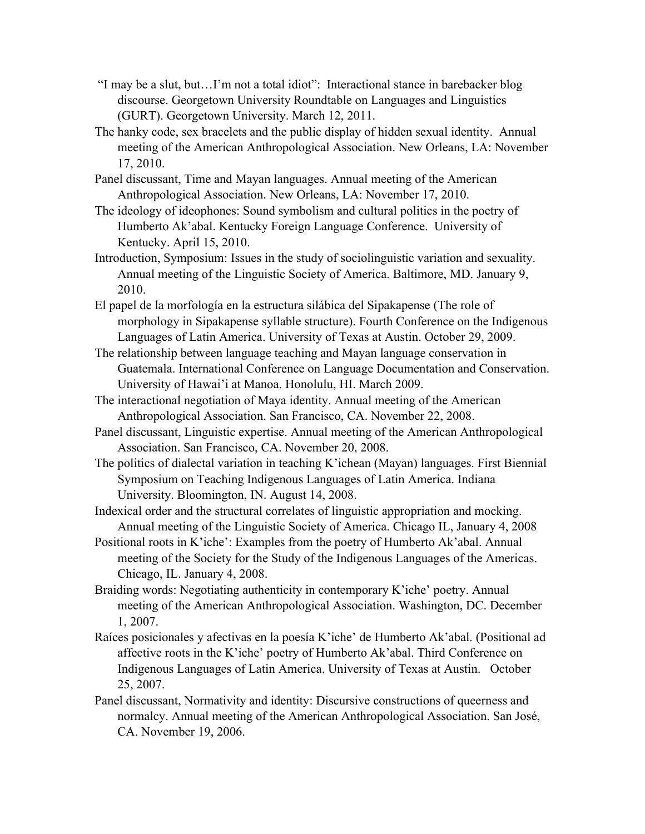- "I may be a slut, but…I'm not a total idiot": Interactional stance in barebacker blog discourse. Georgetown University Roundtable on Languages and Linguistics (GURT). Georgetown University. March 12, 2011.
- The hanky code, sex bracelets and the public display of hidden sexual identity. Annual meeting of the American Anthropological Association. New Orleans, LA: November 17, 2010.
- Panel discussant, Time and Mayan languages. Annual meeting of the American Anthropological Association. New Orleans, LA: November 17, 2010.
- The ideology of ideophones: Sound symbolism and cultural politics in the poetry of Humberto Ak'abal. Kentucky Foreign Language Conference. University of Kentucky. April 15, 2010.
- Introduction, Symposium: Issues in the study of sociolinguistic variation and sexuality. Annual meeting of the Linguistic Society of America. Baltimore, MD. January 9, 2010.
- El papel de la morfología en la estructura silábica del Sipakapense (The role of morphology in Sipakapense syllable structure). Fourth Conference on the Indigenous Languages of Latin America. University of Texas at Austin. October 29, 2009.
- The relationship between language teaching and Mayan language conservation in Guatemala. International Conference on Language Documentation and Conservation. University of Hawai'i at Manoa. Honolulu, HI. March 2009.
- The interactional negotiation of Maya identity. Annual meeting of the American Anthropological Association. San Francisco, CA. November 22, 2008.
- Panel discussant, Linguistic expertise. Annual meeting of the American Anthropological Association. San Francisco, CA. November 20, 2008.
- The politics of dialectal variation in teaching K'ichean (Mayan) languages. First Biennial Symposium on Teaching Indigenous Languages of Latin America. Indiana University. Bloomington, IN. August 14, 2008.
- Indexical order and the structural correlates of linguistic appropriation and mocking. Annual meeting of the Linguistic Society of America. Chicago IL, January 4, 2008
- Positional roots in K'iche': Examples from the poetry of Humberto Ak'abal. Annual meeting of the Society for the Study of the Indigenous Languages of the Americas. Chicago, IL. January 4, 2008.
- Braiding words: Negotiating authenticity in contemporary K'iche' poetry. Annual meeting of the American Anthropological Association. Washington, DC. December 1, 2007.
- Raíces posicionales y afectivas en la poesía K'iche' de Humberto Ak'abal. (Positional ad affective roots in the K'iche' poetry of Humberto Ak'abal. Third Conference on Indigenous Languages of Latin America. University of Texas at Austin. October 25, 2007.
- Panel discussant, Normativity and identity: Discursive constructions of queerness and normalcy. Annual meeting of the American Anthropological Association. San José, CA. November 19, 2006.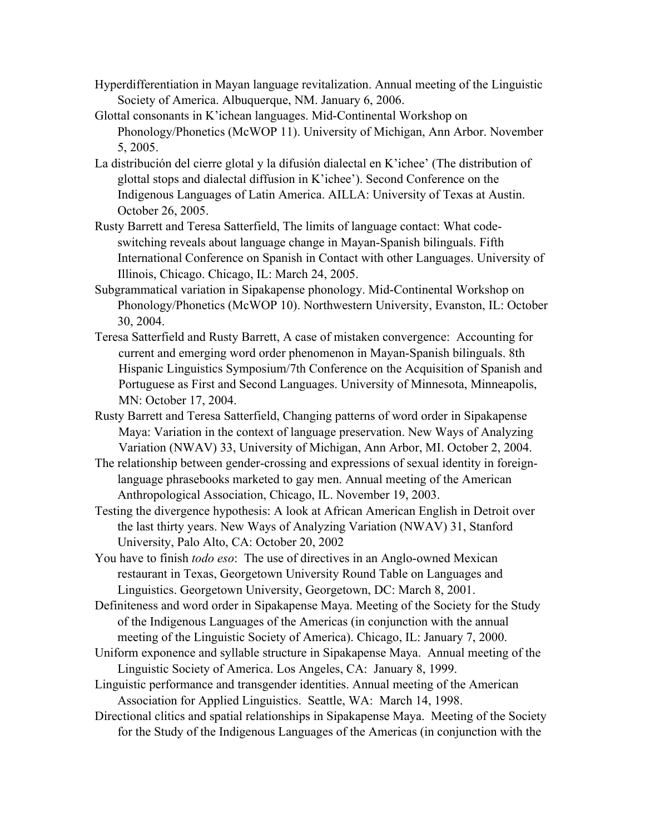- Hyperdifferentiation in Mayan language revitalization. Annual meeting of the Linguistic Society of America. Albuquerque, NM. January 6, 2006.
- Glottal consonants in K'ichean languages. Mid-Continental Workshop on Phonology/Phonetics (McWOP 11). University of Michigan, Ann Arbor. November 5, 2005.
- La distribución del cierre glotal y la difusión dialectal en K'ichee' (The distribution of glottal stops and dialectal diffusion in K'ichee'). Second Conference on the Indigenous Languages of Latin America. AILLA: University of Texas at Austin. October 26, 2005.
- Rusty Barrett and Teresa Satterfield, The limits of language contact: What codeswitching reveals about language change in Mayan-Spanish bilinguals. Fifth International Conference on Spanish in Contact with other Languages. University of Illinois, Chicago. Chicago, IL: March 24, 2005.
- Subgrammatical variation in Sipakapense phonology. Mid-Continental Workshop on Phonology/Phonetics (McWOP 10). Northwestern University, Evanston, IL: October 30, 2004.
- Teresa Satterfield and Rusty Barrett, A case of mistaken convergence: Accounting for current and emerging word order phenomenon in Mayan-Spanish bilinguals. 8th Hispanic Linguistics Symposium/7th Conference on the Acquisition of Spanish and Portuguese as First and Second Languages. University of Minnesota, Minneapolis, MN: October 17, 2004.
- Rusty Barrett and Teresa Satterfield, Changing patterns of word order in Sipakapense Maya: Variation in the context of language preservation. New Ways of Analyzing Variation (NWAV) 33, University of Michigan, Ann Arbor, MI. October 2, 2004.
- The relationship between gender-crossing and expressions of sexual identity in foreignlanguage phrasebooks marketed to gay men. Annual meeting of the American Anthropological Association, Chicago, IL. November 19, 2003.
- Testing the divergence hypothesis: A look at African American English in Detroit over the last thirty years. New Ways of Analyzing Variation (NWAV) 31, Stanford University, Palo Alto, CA: October 20, 2002
- You have to finish *todo eso*: The use of directives in an Anglo-owned Mexican restaurant in Texas, Georgetown University Round Table on Languages and Linguistics. Georgetown University, Georgetown, DC: March 8, 2001.
- Definiteness and word order in Sipakapense Maya. Meeting of the Society for the Study of the Indigenous Languages of the Americas (in conjunction with the annual meeting of the Linguistic Society of America). Chicago, IL: January 7, 2000.
- Uniform exponence and syllable structure in Sipakapense Maya. Annual meeting of the Linguistic Society of America. Los Angeles, CA: January 8, 1999.
- Linguistic performance and transgender identities. Annual meeting of the American Association for Applied Linguistics. Seattle, WA: March 14, 1998.
- Directional clitics and spatial relationships in Sipakapense Maya. Meeting of the Society for the Study of the Indigenous Languages of the Americas (in conjunction with the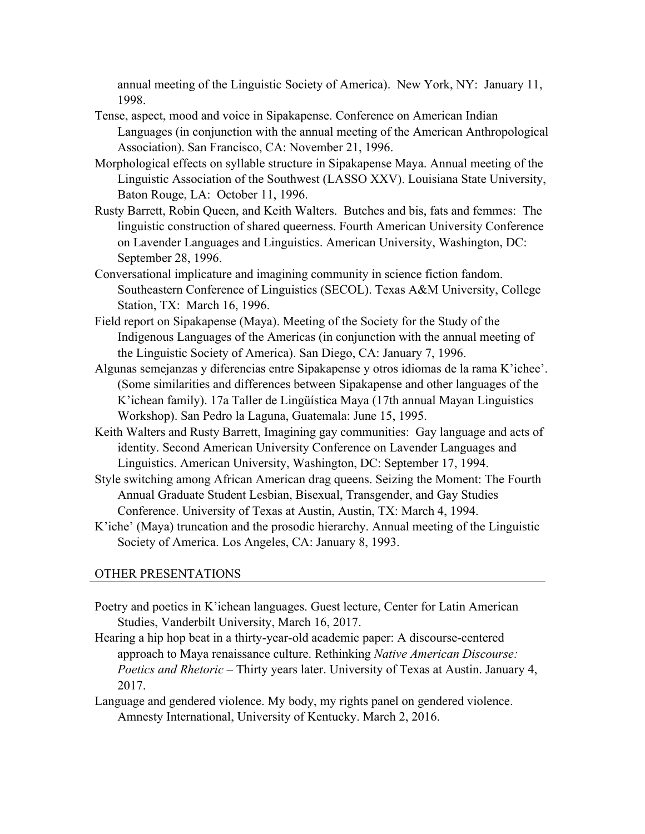annual meeting of the Linguistic Society of America). New York, NY: January 11, 1998.

- Tense, aspect, mood and voice in Sipakapense. Conference on American Indian Languages (in conjunction with the annual meeting of the American Anthropological Association). San Francisco, CA: November 21, 1996.
- Morphological effects on syllable structure in Sipakapense Maya. Annual meeting of the Linguistic Association of the Southwest (LASSO XXV). Louisiana State University, Baton Rouge, LA: October 11, 1996.
- Rusty Barrett, Robin Queen, and Keith Walters. Butches and bis, fats and femmes: The linguistic construction of shared queerness. Fourth American University Conference on Lavender Languages and Linguistics. American University, Washington, DC: September 28, 1996.
- Conversational implicature and imagining community in science fiction fandom. Southeastern Conference of Linguistics (SECOL). Texas A&M University, College Station, TX: March 16, 1996.
- Field report on Sipakapense (Maya). Meeting of the Society for the Study of the Indigenous Languages of the Americas (in conjunction with the annual meeting of the Linguistic Society of America). San Diego, CA: January 7, 1996.
- Algunas semejanzas y diferencias entre Sipakapense y otros idiomas de la rama K'ichee'. (Some similarities and differences between Sipakapense and other languages of the K'ichean family). 17a Taller de Lingüística Maya (17th annual Mayan Linguistics Workshop). San Pedro la Laguna, Guatemala: June 15, 1995.
- Keith Walters and Rusty Barrett, Imagining gay communities: Gay language and acts of identity. Second American University Conference on Lavender Languages and Linguistics. American University, Washington, DC: September 17, 1994.
- Style switching among African American drag queens. Seizing the Moment: The Fourth Annual Graduate Student Lesbian, Bisexual, Transgender, and Gay Studies Conference. University of Texas at Austin, Austin, TX: March 4, 1994.
- K'iche' (Maya) truncation and the prosodic hierarchy. Annual meeting of the Linguistic Society of America. Los Angeles, CA: January 8, 1993.

### OTHER PRESENTATIONS

- Poetry and poetics in K'ichean languages. Guest lecture, Center for Latin American Studies, Vanderbilt University, March 16, 2017.
- Hearing a hip hop beat in a thirty-year-old academic paper: A discourse-centered approach to Maya renaissance culture. Rethinking *Native American Discourse: Poetics and Rhetoric –* Thirty years later. University of Texas at Austin. January 4, 2017.
- Language and gendered violence. My body, my rights panel on gendered violence. Amnesty International, University of Kentucky. March 2, 2016.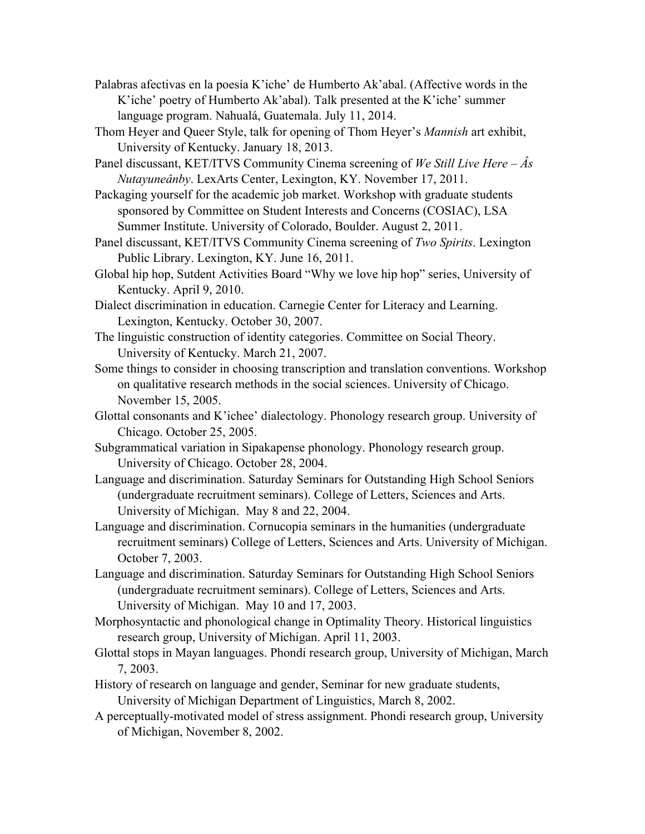- Palabras afectivas en la poesía K'iche' de Humberto Ak'abal. (Affective words in the K'iche' poetry of Humberto Ak'abal). Talk presented at the K'iche' summer language program. Nahualá, Guatemala. July 11, 2014.
- Thom Heyer and Queer Style, talk for opening of Thom Heyer's *Mannish* art exhibit, University of Kentucky. January 18, 2013.
- Panel discussant, KET/ITVS Community Cinema screening of *We Still Live Here – Âs Nutayuneânby*. LexArts Center, Lexington, KY. November 17, 2011.
- Packaging yourself for the academic job market. Workshop with graduate students sponsored by Committee on Student Interests and Concerns (COSIAC), LSA Summer Institute. University of Colorado, Boulder. August 2, 2011.
- Panel discussant, KET/ITVS Community Cinema screening of *Two Spirits*. Lexington Public Library. Lexington, KY. June 16, 2011.
- Global hip hop, Sutdent Activities Board "Why we love hip hop" series, University of Kentucky. April 9, 2010.
- Dialect discrimination in education. Carnegie Center for Literacy and Learning. Lexington, Kentucky. October 30, 2007.
- The linguistic construction of identity categories. Committee on Social Theory. University of Kentucky. March 21, 2007.
- Some things to consider in choosing transcription and translation conventions. Workshop on qualitative research methods in the social sciences. University of Chicago. November 15, 2005.
- Glottal consonants and K'ichee' dialectology. Phonology research group. University of Chicago. October 25, 2005.
- Subgrammatical variation in Sipakapense phonology. Phonology research group. University of Chicago. October 28, 2004.
- Language and discrimination. Saturday Seminars for Outstanding High School Seniors (undergraduate recruitment seminars). College of Letters, Sciences and Arts. University of Michigan. May 8 and 22, 2004.
- Language and discrimination. Cornucopia seminars in the humanities (undergraduate recruitment seminars) College of Letters, Sciences and Arts. University of Michigan. October 7, 2003.
- Language and discrimination. Saturday Seminars for Outstanding High School Seniors (undergraduate recruitment seminars). College of Letters, Sciences and Arts. University of Michigan. May 10 and 17, 2003.
- Morphosyntactic and phonological change in Optimality Theory. Historical linguistics research group, University of Michigan. April 11, 2003.
- Glottal stops in Mayan languages. Phondi research group, University of Michigan, March 7, 2003.
- History of research on language and gender, Seminar for new graduate students, University of Michigan Department of Linguistics, March 8, 2002.
- A perceptually-motivated model of stress assignment. Phondi research group, University of Michigan, November 8, 2002.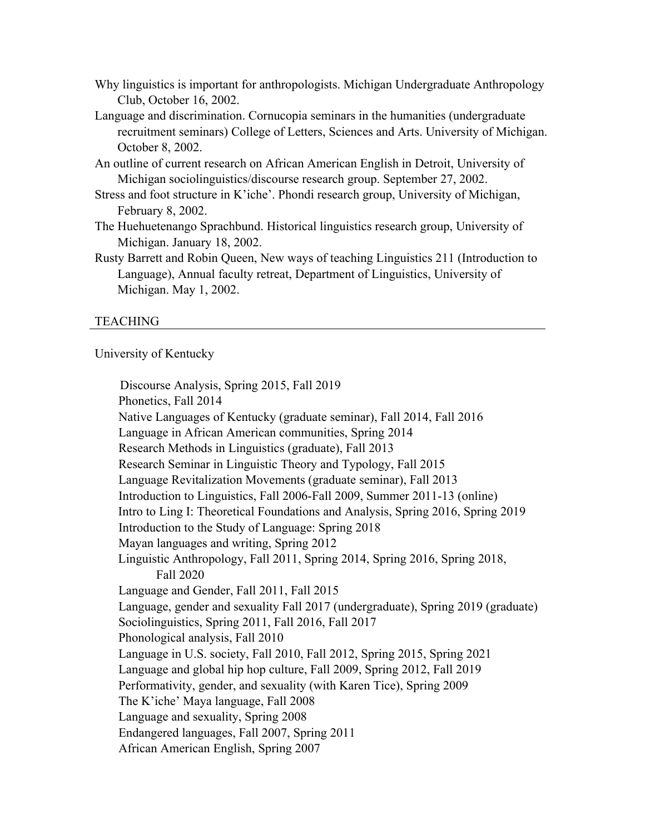- Why linguistics is important for anthropologists. Michigan Undergraduate Anthropology Club, October 16, 2002.
- Language and discrimination. Cornucopia seminars in the humanities (undergraduate recruitment seminars) College of Letters, Sciences and Arts. University of Michigan. October 8, 2002.
- An outline of current research on African American English in Detroit, University of Michigan sociolinguistics/discourse research group. September 27, 2002.
- Stress and foot structure in K'iche'. Phondi research group, University of Michigan, February 8, 2002.
- The Huehuetenango Sprachbund. Historical linguistics research group, University of Michigan. January 18, 2002.
- Rusty Barrett and Robin Queen, New ways of teaching Linguistics 211 (Introduction to Language), Annual faculty retreat, Department of Linguistics, University of Michigan. May 1, 2002.

### TEACHING

University of Kentucky

 Discourse Analysis, Spring 2015, Fall 2019 Phonetics, Fall 2014 Native Languages of Kentucky (graduate seminar), Fall 2014, Fall 2016 Language in African American communities, Spring 2014 Research Methods in Linguistics (graduate), Fall 2013 Research Seminar in Linguistic Theory and Typology, Fall 2015 Language Revitalization Movements (graduate seminar), Fall 2013 Introduction to Linguistics, Fall 2006-Fall 2009, Summer 2011-13 (online) Intro to Ling I: Theoretical Foundations and Analysis, Spring 2016, Spring 2019 Introduction to the Study of Language: Spring 2018 Mayan languages and writing, Spring 2012 Linguistic Anthropology, Fall 2011, Spring 2014, Spring 2016, Spring 2018, Fall 2020 Language and Gender, Fall 2011, Fall 2015 Language, gender and sexuality Fall 2017 (undergraduate), Spring 2019 (graduate) Sociolinguistics, Spring 2011, Fall 2016, Fall 2017 Phonological analysis, Fall 2010 Language in U.S. society, Fall 2010, Fall 2012, Spring 2015, Spring 2021 Language and global hip hop culture, Fall 2009, Spring 2012, Fall 2019 Performativity, gender, and sexuality (with Karen Tice), Spring 2009 The K'iche' Maya language, Fall 2008 Language and sexuality, Spring 2008 Endangered languages, Fall 2007, Spring 2011 African American English, Spring 2007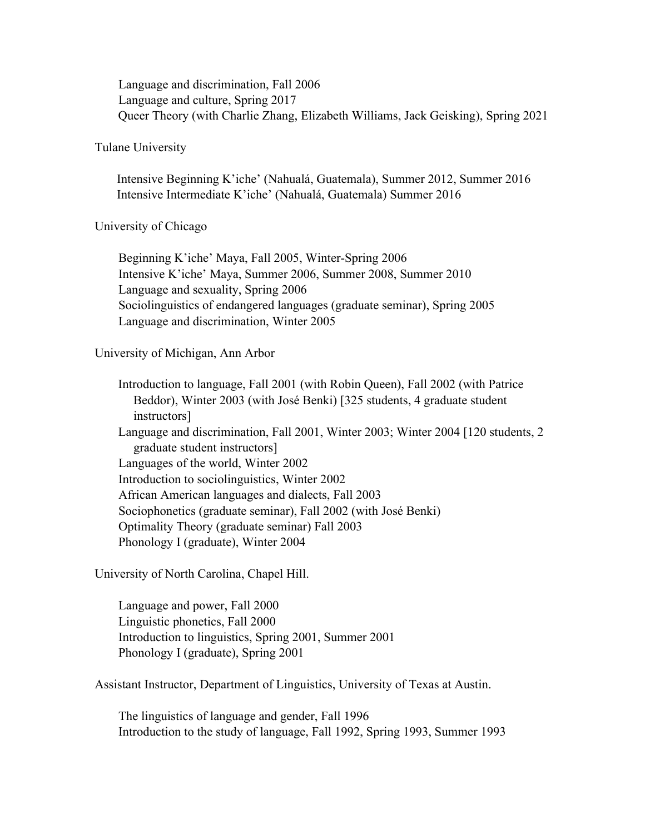Language and discrimination, Fall 2006 Language and culture, Spring 2017 Queer Theory (with Charlie Zhang, Elizabeth Williams, Jack Geisking), Spring 2021

#### Tulane University

 Intensive Beginning K'iche' (Nahualá, Guatemala), Summer 2012, Summer 2016 Intensive Intermediate K'iche' (Nahualá, Guatemala) Summer 2016

### University of Chicago

Beginning K'iche' Maya, Fall 2005, Winter-Spring 2006 Intensive K'iche' Maya, Summer 2006, Summer 2008, Summer 2010 Language and sexuality, Spring 2006 Sociolinguistics of endangered languages (graduate seminar), Spring 2005 Language and discrimination, Winter 2005

## University of Michigan, Ann Arbor

Introduction to language, Fall 2001 (with Robin Queen), Fall 2002 (with Patrice Beddor), Winter 2003 (with José Benki) [325 students, 4 graduate student instructors] Language and discrimination, Fall 2001, Winter 2003; Winter 2004 [120 students, 2 graduate student instructors] Languages of the world, Winter 2002 Introduction to sociolinguistics, Winter 2002 African American languages and dialects, Fall 2003 Sociophonetics (graduate seminar), Fall 2002 (with José Benki) Optimality Theory (graduate seminar) Fall 2003 Phonology I (graduate), Winter 2004

University of North Carolina, Chapel Hill.

Language and power, Fall 2000 Linguistic phonetics, Fall 2000 Introduction to linguistics, Spring 2001, Summer 2001 Phonology I (graduate), Spring 2001

Assistant Instructor, Department of Linguistics, University of Texas at Austin.

The linguistics of language and gender, Fall 1996 Introduction to the study of language, Fall 1992, Spring 1993, Summer 1993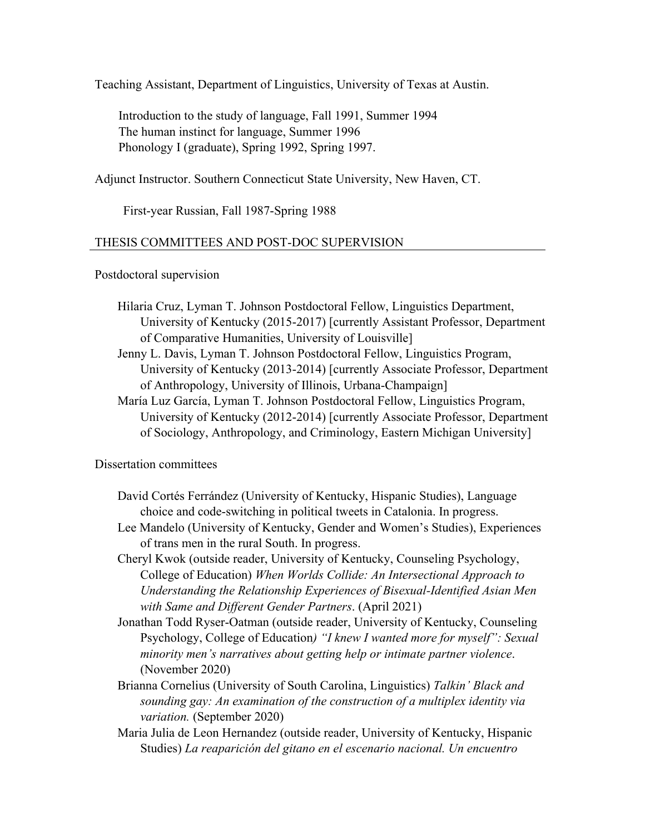Teaching Assistant, Department of Linguistics, University of Texas at Austin.

Introduction to the study of language, Fall 1991, Summer 1994 The human instinct for language, Summer 1996 Phonology I (graduate), Spring 1992, Spring 1997.

Adjunct Instructor. Southern Connecticut State University, New Haven, CT.

First-year Russian, Fall 1987-Spring 1988

#### THESIS COMMITTEES AND POST-DOC SUPERVISION

Postdoctoral supervision

- Hilaria Cruz, Lyman T. Johnson Postdoctoral Fellow, Linguistics Department, University of Kentucky (2015-2017) [currently Assistant Professor, Department of Comparative Humanities, University of Louisville]
- Jenny L. Davis, Lyman T. Johnson Postdoctoral Fellow, Linguistics Program, University of Kentucky (2013-2014) [currently Associate Professor, Department of Anthropology, University of Illinois, Urbana-Champaign]
- María Luz García, Lyman T. Johnson Postdoctoral Fellow, Linguistics Program, University of Kentucky (2012-2014) [currently Associate Professor, Department of Sociology, Anthropology, and Criminology, Eastern Michigan University]

#### Dissertation committees

- David Cortés Ferrández (University of Kentucky, Hispanic Studies), Language choice and code-switching in political tweets in Catalonia. In progress.
- Lee Mandelo (University of Kentucky, Gender and Women's Studies), Experiences of trans men in the rural South. In progress.
- Cheryl Kwok (outside reader, University of Kentucky, Counseling Psychology, College of Education) *When Worlds Collide: An Intersectional Approach to Understanding the Relationship Experiences of Bisexual-Identified Asian Men with Same and Different Gender Partners*. (April 2021)
- Jonathan Todd Ryser-Oatman (outside reader, University of Kentucky, Counseling Psychology, College of Education*) "I knew I wanted more for myself": Sexual minority men's narratives about getting help or intimate partner violence*. (November 2020)
- Brianna Cornelius (University of South Carolina, Linguistics) *Talkin' Black and sounding gay: An examination of the construction of a multiplex identity via variation.* (September 2020)
- Maria Julia de Leon Hernandez (outside reader, University of Kentucky, Hispanic Studies) *La reaparición del gitano en el escenario nacional. Un encuentro*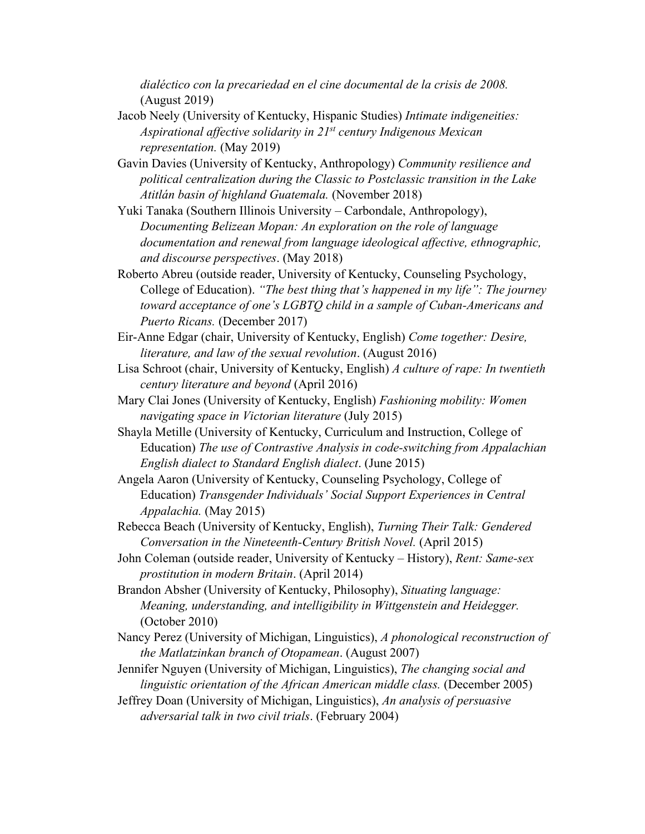*dialéctico con la precariedad en el cine documental de la crisis de 2008.* (August 2019)

- Jacob Neely (University of Kentucky, Hispanic Studies) *Intimate indigeneities: Aspirational affective solidarity in 21st century Indigenous Mexican representation.* (May 2019)
- Gavin Davies (University of Kentucky, Anthropology) *Community resilience and political centralization during the Classic to Postclassic transition in the Lake Atitlán basin of highland Guatemala.* (November 2018)
- Yuki Tanaka (Southern Illinois University Carbondale, Anthropology), *Documenting Belizean Mopan: An exploration on the role of language documentation and renewal from language ideological affective, ethnographic, and discourse perspectives*. (May 2018)
- Roberto Abreu (outside reader, University of Kentucky, Counseling Psychology, College of Education). *"The best thing that's happened in my life": The journey toward acceptance of one's LGBTQ child in a sample of Cuban-Americans and Puerto Ricans.* (December 2017)
- Eir-Anne Edgar (chair, University of Kentucky, English) *Come together: Desire, literature, and law of the sexual revolution*. (August 2016)
- Lisa Schroot (chair, University of Kentucky, English) *A culture of rape: In twentieth century literature and beyond* (April 2016)
- Mary Clai Jones (University of Kentucky, English) *Fashioning mobility: Women navigating space in Victorian literature* (July 2015)
- Shayla Metille (University of Kentucky, Curriculum and Instruction, College of Education) *The use of Contrastive Analysis in code-switching from Appalachian English dialect to Standard English dialect*. (June 2015)
- Angela Aaron (University of Kentucky, Counseling Psychology, College of Education) *Transgender Individuals' Social Support Experiences in Central Appalachia.* (May 2015)
- Rebecca Beach (University of Kentucky, English), *Turning Their Talk: Gendered Conversation in the Nineteenth-Century British Novel.* (April 2015)
- John Coleman (outside reader, University of Kentucky History), *Rent: Same-sex prostitution in modern Britain*. (April 2014)
- Brandon Absher (University of Kentucky, Philosophy), *Situating language: Meaning, understanding, and intelligibility in Wittgenstein and Heidegger.*  (October 2010)
- Nancy Perez (University of Michigan, Linguistics), *A phonological reconstruction of the Matlatzinkan branch of Otopamean*. (August 2007)

Jennifer Nguyen (University of Michigan, Linguistics), *The changing social and linguistic orientation of the African American middle class.* (December 2005)

Jeffrey Doan (University of Michigan, Linguistics), *An analysis of persuasive adversarial talk in two civil trials*. (February 2004)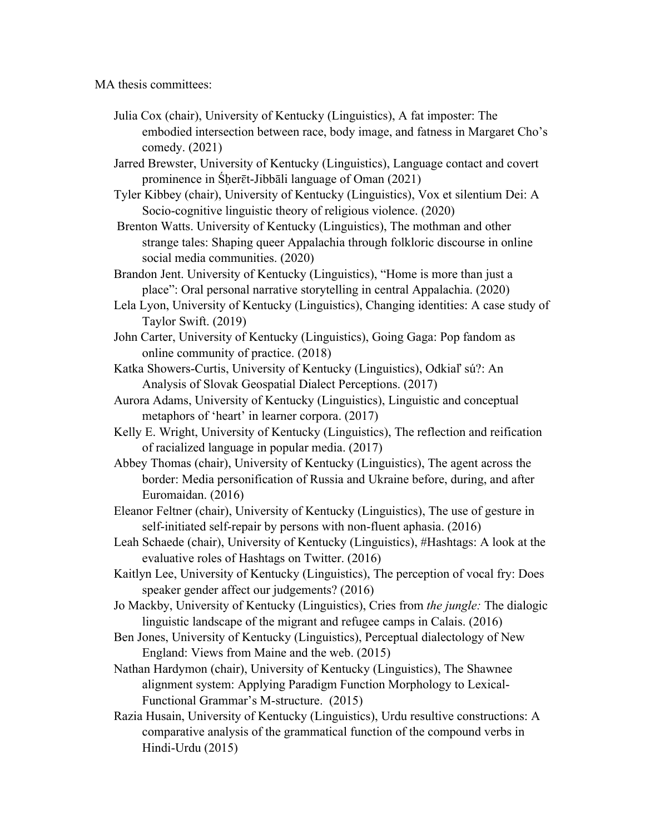MA thesis committees:

Julia Cox (chair), University of Kentucky (Linguistics), A fat imposter: The embodied intersection between race, body image, and fatness in Margaret Cho's comedy. (2021)

Jarred Brewster, University of Kentucky (Linguistics), Language contact and covert prominence in Śḥerɛ̄t-Jibbāli language of Oman (2021)

Tyler Kibbey (chair), University of Kentucky (Linguistics), Vox et silentium Dei: A Socio-cognitive linguistic theory of religious violence. (2020)

Brenton Watts. University of Kentucky (Linguistics), The mothman and other strange tales: Shaping queer Appalachia through folkloric discourse in online social media communities. (2020)

Brandon Jent. University of Kentucky (Linguistics), "Home is more than just a place": Oral personal narrative storytelling in central Appalachia. (2020)

- Lela Lyon, University of Kentucky (Linguistics), Changing identities: A case study of Taylor Swift. (2019)
- John Carter, University of Kentucky (Linguistics), Going Gaga: Pop fandom as online community of practice. (2018)
- Katka Showers-Curtis, University of Kentucky (Linguistics), Odkiaľ sú?: An Analysis of Slovak Geospatial Dialect Perceptions. (2017)
- Aurora Adams, University of Kentucky (Linguistics), Linguistic and conceptual metaphors of 'heart' in learner corpora. (2017)
- Kelly E. Wright, University of Kentucky (Linguistics), The reflection and reification of racialized language in popular media. (2017)
- Abbey Thomas (chair), University of Kentucky (Linguistics), The agent across the border: Media personification of Russia and Ukraine before, during, and after Euromaidan. (2016)
- Eleanor Feltner (chair), University of Kentucky (Linguistics), The use of gesture in self-initiated self-repair by persons with non-fluent aphasia. (2016)
- Leah Schaede (chair), University of Kentucky (Linguistics), #Hashtags: A look at the evaluative roles of Hashtags on Twitter. (2016)
- Kaitlyn Lee, University of Kentucky (Linguistics), The perception of vocal fry: Does speaker gender affect our judgements? (2016)
- Jo Mackby, University of Kentucky (Linguistics), Cries from *the jungle:* The dialogic linguistic landscape of the migrant and refugee camps in Calais. (2016)
- Ben Jones, University of Kentucky (Linguistics), Perceptual dialectology of New England: Views from Maine and the web. (2015)
- Nathan Hardymon (chair), University of Kentucky (Linguistics), The Shawnee alignment system: Applying Paradigm Function Morphology to Lexical-Functional Grammar's M-structure. (2015)
- Razia Husain, University of Kentucky (Linguistics), Urdu resultive constructions: A comparative analysis of the grammatical function of the compound verbs in Hindi-Urdu (2015)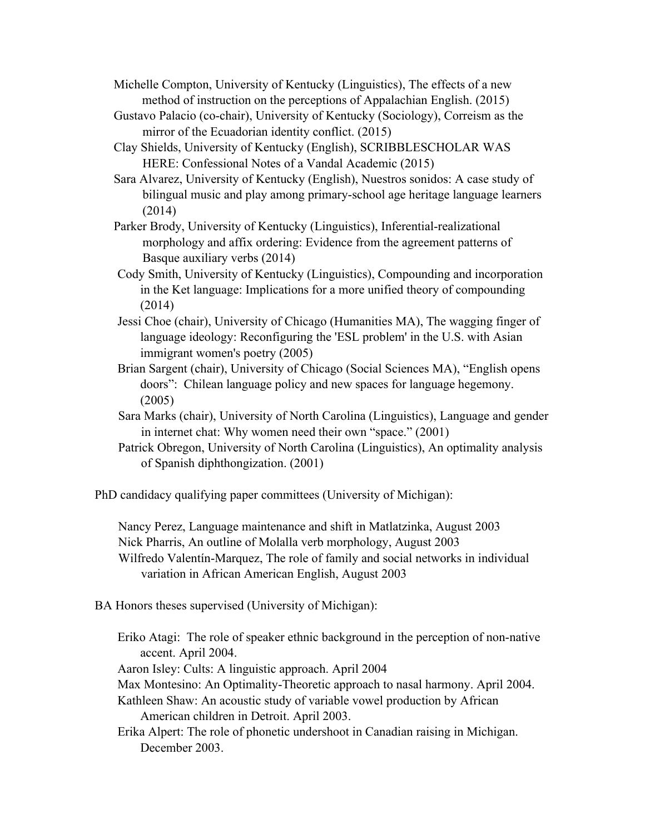Michelle Compton, University of Kentucky (Linguistics), The effects of a new method of instruction on the perceptions of Appalachian English. (2015)

- Gustavo Palacio (co-chair), University of Kentucky (Sociology), Correism as the mirror of the Ecuadorian identity conflict. (2015)
- Clay Shields, University of Kentucky (English), SCRIBBLESCHOLAR WAS HERE: Confessional Notes of a Vandal Academic (2015)
- Sara Alvarez, University of Kentucky (English), Nuestros sonidos: A case study of bilingual music and play among primary-school age heritage language learners (2014)
- Parker Brody, University of Kentucky (Linguistics), Inferential-realizational morphology and affix ordering: Evidence from the agreement patterns of Basque auxiliary verbs (2014)
- Cody Smith, University of Kentucky (Linguistics), Compounding and incorporation in the Ket language: Implications for a more unified theory of compounding (2014)
- Jessi Choe (chair), University of Chicago (Humanities MA), The wagging finger of language ideology: Reconfiguring the 'ESL problem' in the U.S. with Asian immigrant women's poetry (2005)
- Brian Sargent (chair), University of Chicago (Social Sciences MA), "English opens doors": Chilean language policy and new spaces for language hegemony. (2005)
- Sara Marks (chair), University of North Carolina (Linguistics), Language and gender in internet chat: Why women need their own "space." (2001)
- Patrick Obregon, University of North Carolina (Linguistics), An optimality analysis of Spanish diphthongization. (2001)

PhD candidacy qualifying paper committees (University of Michigan):

Nancy Perez, Language maintenance and shift in Matlatzinka, August 2003 Nick Pharris, An outline of Molalla verb morphology, August 2003 Wilfredo Valentín-Marquez, The role of family and social networks in individual variation in African American English, August 2003

- BA Honors theses supervised (University of Michigan):
	- Eriko Atagi: The role of speaker ethnic background in the perception of non-native accent. April 2004.

Aaron Isley: Cults: A linguistic approach. April 2004

- Max Montesino: An Optimality-Theoretic approach to nasal harmony. April 2004.
- Kathleen Shaw: An acoustic study of variable vowel production by African American children in Detroit. April 2003.
- Erika Alpert: The role of phonetic undershoot in Canadian raising in Michigan. December 2003.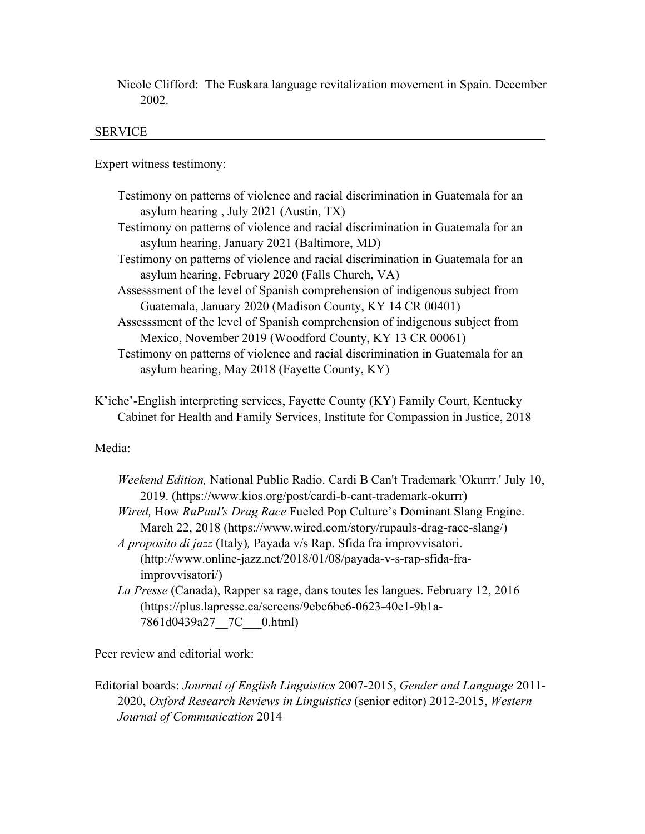Nicole Clifford: The Euskara language revitalization movement in Spain. December 2002.

### SERVICE

Expert witness testimony:

- Testimony on patterns of violence and racial discrimination in Guatemala for an asylum hearing , July 2021 (Austin, TX)
- Testimony on patterns of violence and racial discrimination in Guatemala for an asylum hearing, January 2021 (Baltimore, MD)
- Testimony on patterns of violence and racial discrimination in Guatemala for an asylum hearing, February 2020 (Falls Church, VA)
- Assesssment of the level of Spanish comprehension of indigenous subject from Guatemala, January 2020 (Madison County, KY 14 CR 00401)
- Assesssment of the level of Spanish comprehension of indigenous subject from Mexico, November 2019 (Woodford County, KY 13 CR 00061)
- Testimony on patterns of violence and racial discrimination in Guatemala for an asylum hearing, May 2018 (Fayette County, KY)

K'iche'-English interpreting services, Fayette County (KY) Family Court, Kentucky Cabinet for Health and Family Services, Institute for Compassion in Justice, 2018

## Media:

| Weekend Edition, National Public Radio. Cardi B Can't Trademark 'Okurrr.' July 10, |
|------------------------------------------------------------------------------------|
| 2019. (https://www.kios.org/post/cardi-b-cant-trademark-okurrr)                    |
| Wired, How RuPaul's Drag Race Fueled Pop Culture's Dominant Slang Engine.          |
| March 22, 2018 (https://www.wired.com/story/rupauls-drag-race-slang/)              |
| <i>A proposito di jazz</i> (Italy), Payada v/s Rap. Sfida fra improvvisatori.      |
| (http://www.online-jazz.net/2018/01/08/payada-v-s-rap-sfida-fra-                   |
| improvvisatori/)                                                                   |
| La Presse (Canada), Rapper sa rage, dans toutes les langues. February 12, 2016     |
| (https://plus.lapresse.ca/screens/9ebc6be6-0623-40e1-9b1a-                         |
| 7861d0439a27 7C 0.html)                                                            |
|                                                                                    |

Peer review and editorial work:

Editorial boards: *Journal of English Linguistics* 2007-2015, *Gender and Language* 2011- 2020, *Oxford Research Reviews in Linguistics* (senior editor) 2012-2015, *Western Journal of Communication* 2014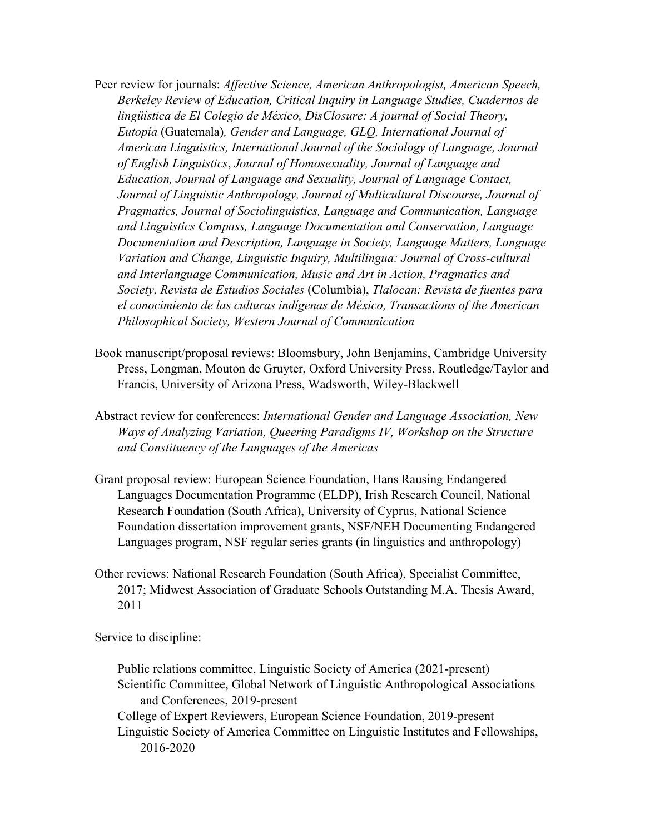- Peer review for journals: *Affective Science, American Anthropologist, American Speech, Berkeley Review of Education, Critical Inquiry in Language Studies, Cuadernos de lingüística de El Colegio de México, DisClosure: A journal of Social Theory, Eutopía* (Guatemala)*, Gender and Language, GLQ, International Journal of American Linguistics, International Journal of the Sociology of Language, Journal of English Linguistics*, *Journal of Homosexuality, Journal of Language and Education, Journal of Language and Sexuality, Journal of Language Contact, Journal of Linguistic Anthropology, Journal of Multicultural Discourse, Journal of Pragmatics, Journal of Sociolinguistics, Language and Communication, Language and Linguistics Compass, Language Documentation and Conservation, Language Documentation and Description, Language in Society, Language Matters, Language Variation and Change, Linguistic Inquiry, Multilingua: Journal of Cross-cultural and Interlanguage Communication, Music and Art in Action, Pragmatics and Society, Revista de Estudios Sociales* (Columbia), *Tlalocan: Revista de fuentes para el conocimiento de las culturas indígenas de México, Transactions of the American Philosophical Society, Western Journal of Communication*
- Book manuscript/proposal reviews: Bloomsbury, John Benjamins, Cambridge University Press, Longman, Mouton de Gruyter, Oxford University Press, Routledge/Taylor and Francis, University of Arizona Press, Wadsworth, Wiley-Blackwell
- Abstract review for conferences: *International Gender and Language Association, New Ways of Analyzing Variation, Queering Paradigms IV, Workshop on the Structure and Constituency of the Languages of the Americas*
- Grant proposal review: European Science Foundation, Hans Rausing Endangered Languages Documentation Programme (ELDP), Irish Research Council, National Research Foundation (South Africa), University of Cyprus, National Science Foundation dissertation improvement grants, NSF/NEH Documenting Endangered Languages program, NSF regular series grants (in linguistics and anthropology)
- Other reviews: National Research Foundation (South Africa), Specialist Committee, 2017; Midwest Association of Graduate Schools Outstanding M.A. Thesis Award, 2011

Service to discipline:

Public relations committee, Linguistic Society of America (2021-present) Scientific Committee, Global Network of Linguistic Anthropological Associations and Conferences, 2019-present College of Expert Reviewers, European Science Foundation, 2019-present Linguistic Society of America Committee on Linguistic Institutes and Fellowships, 2016-2020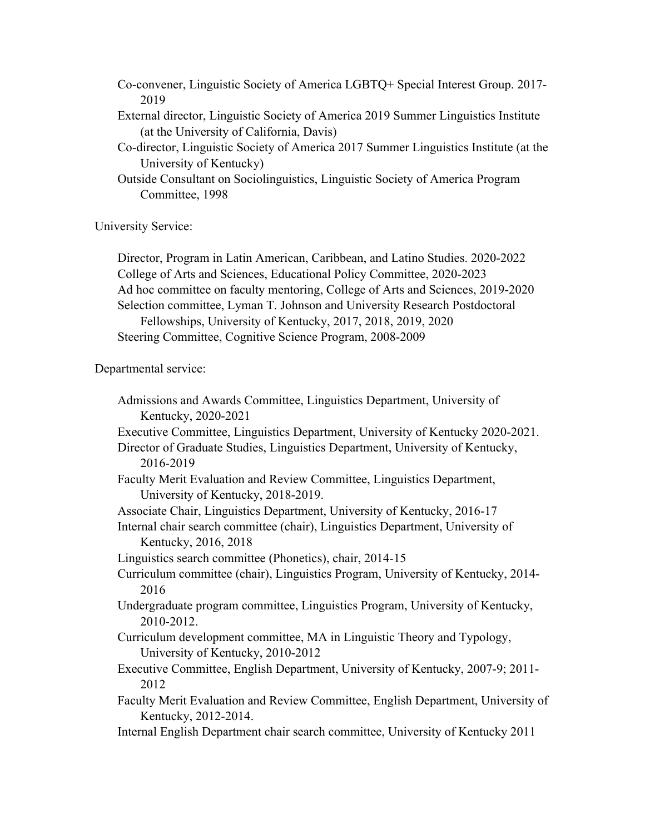- Co-convener, Linguistic Society of America LGBTQ+ Special Interest Group. 2017- 2019
- External director, Linguistic Society of America 2019 Summer Linguistics Institute (at the University of California, Davis)
- Co-director, Linguistic Society of America 2017 Summer Linguistics Institute (at the University of Kentucky)
- Outside Consultant on Sociolinguistics, Linguistic Society of America Program Committee, 1998

University Service:

Director, Program in Latin American, Caribbean, and Latino Studies. 2020-2022 College of Arts and Sciences, Educational Policy Committee, 2020-2023 Ad hoc committee on faculty mentoring, College of Arts and Sciences, 2019-2020 Selection committee, Lyman T. Johnson and University Research Postdoctoral Fellowships, University of Kentucky, 2017, 2018, 2019, 2020 Steering Committee, Cognitive Science Program, 2008-2009

Departmental service:

Admissions and Awards Committee, Linguistics Department, University of Kentucky, 2020-2021 Executive Committee, Linguistics Department, University of Kentucky 2020-2021. Director of Graduate Studies, Linguistics Department, University of Kentucky, 2016-2019 Faculty Merit Evaluation and Review Committee, Linguistics Department, University of Kentucky, 2018-2019. Associate Chair, Linguistics Department, University of Kentucky, 2016-17 Internal chair search committee (chair), Linguistics Department, University of Kentucky, 2016, 2018 Linguistics search committee (Phonetics), chair, 2014-15 Curriculum committee (chair), Linguistics Program, University of Kentucky, 2014- 2016 Undergraduate program committee, Linguistics Program, University of Kentucky, 2010-2012. Curriculum development committee, MA in Linguistic Theory and Typology, University of Kentucky, 2010-2012 Executive Committee, English Department, University of Kentucky, 2007-9; 2011- 2012 Faculty Merit Evaluation and Review Committee, English Department, University of Kentucky, 2012-2014. Internal English Department chair search committee, University of Kentucky 2011